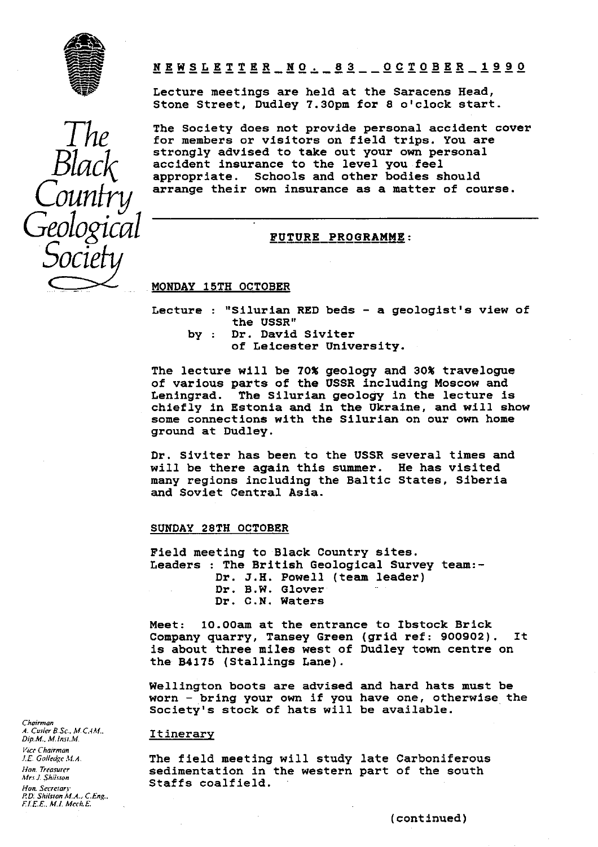

Geological FUTURE PROGRAMME:  $\cal{O}OCl$ 

<sup>r</sup> NEWSLETTER—NO.-83--OCTOBER-1990 *I!*

Lecture meetings are held at the Saracens Head, Stone Street, Dudley 7.30pm for 8 o'clock start.

The Society does not provide personal accident cover<br>*for members or visitors on field trips. You are* strongly advised to take out your own personal accident insurance to the level you feel appropriate. Schools and other bodies should arrange their own insurance as a matter of course.

# MONDAY 15TH OCTOBER

- Lecture : "Silurian RED beds a geologist's view of the USSR"
	- by : Dr. David Siviter of Leicester University.

The lecture will be 70% geology and 30% travelogue of various parts of the USSR including Moscow and Leningrad. The Silurian geology in the lecture is chiefly in Estonia and in the Ukraine, and will show some connections with the Silurian on our own home ground at Dudley.

Dr. Siviter has been to the USSR several times and will be there again this summer. He has visited will be there again this summer. many regions including the Baltic States, Siberia and Soviet Central Asia.

### SUNDAY 28TH OCTOBER

Field meeting to Black Country sites. Leaders : The British Geological Survey team:- Dr. J.H. Powell (team leader) Dr. B.W. Glover Dr. C.N. Waters

Meet: 10.00am at the entrance to Ibstock Brick Company quarry, Tansey Green (grid ref: 900902). It is about three miles west of Dudley town centre on the B4175 (Stallings Lane).

Wellington boots are advised and hard hats must be worn - bring your own if you have one, otherwise the Society's stock of hats will be available.

*J.E. Golledge M.A.* **The field meeting will study late Carboniferous**<br>*Hon Treasure* **sedimentation** in the western part of the south *Hon. Treasurer* sedimentation in the western part of the south *Mrs.1. Shilston Mrs J.Shilsion* Staffs coalfield. *Non. Secretari*

*Chairman A. Cutler B.Sc., M.C. M.. D1p.M.. M.lnsi.M.* Itinerary *Vfce Chairman P.D. Shilston M.A.: CEng.. ! • 'I.E.£. Al.!. Mcch.E.*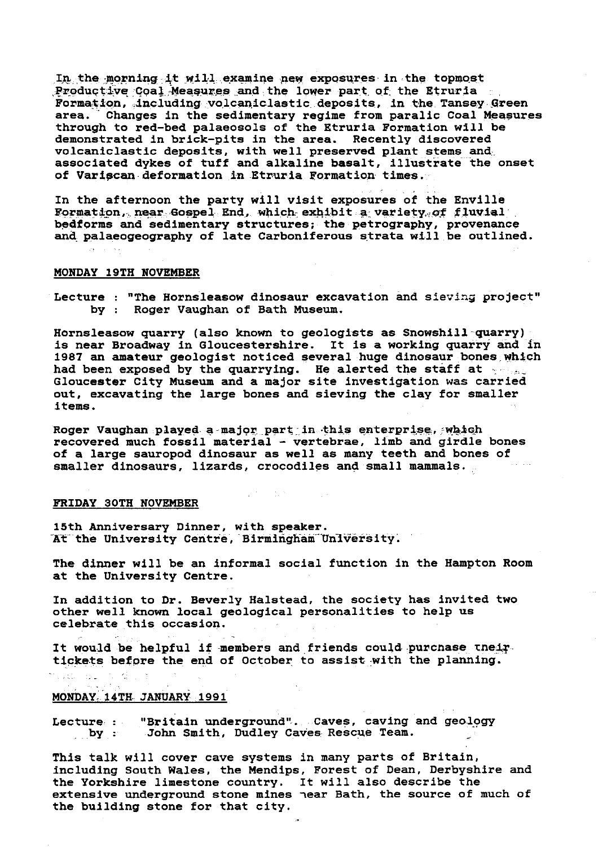In the morning it will examine new exposures , in the topmost Productive Coal Measures and the lower part of the Etruria Formation, .including volcaniclastic deposits, in the Tansey Green area. Changes in the sedimentary regime from paralic Coal Measures through to red-bed palaeosols of the Etruria Formation will be demonstrated in brick-pits in the area. Recently discovered volcaniclastic deposits, with well preserved plant stems and associated dykes of tuff and alkaline basalt, illustrate the onset of Variecan-deformation in-Etruria Formation times.

In the afternoon the party will visit exposures of the Enville Formation, near Gospel End, which exhibit a variety of fluvial bedforms and sedimentary structures; the petrography, provenance and palaeogeography of late Carboniferous strata will be outlined.

# MONDAY 19TH NOVEMBER

Lecture : "The Hornsleasow dinosaur excavation and sieving project" by : Roger Vaughan of Bath Museum.

Hornsleasow quarry (also known to geologists as Snowshill quarry) is near Broadway in Gloucestershire. It is a working quarry and in 1987 an amateur geologist noticed several huge dinosaur bones.which had been exposed by the quarrying. He alerted the staff at  $\sim$ Gloucester City Museum and a major site investigation was carried out, excavating the large bones and sieving the clay for smaller items.

Roger Vaughan played a major part in this enterprise, which recovered much fossil material - vertebrae, limb and girdle bones of a large sauropod dinosaur as well as many teeth and bones of smaller dinosaurs, lizards, crocodiles and small mammals.

 $\label{eq:2.1} \mathcal{L}=\frac{1}{2}\left(\mathcal{L}(\mathbf{r})\right)^{-1}=\frac{1}{2}\left(\mathcal{L}(\mathbf{r})\right)^{-1}\mathcal{L}(\mathbf{r})$ 

### FRIDAY 30TH NOVEMBER

15th Anniversary Dinner, with speaker. At the University Centre, Birmingham University.

The dinner will be an informal social function in the Hampton Room at the University Centre.

In addition to Dr. Beverly Halstead, the society has invited two other well known local geological personalities to help us celebrate this occasion.

It would be helpful if members and friends could purchase their tickets before the end of October to assist with the planning.

# <u>MONDAY, 14TH JANUARY 1991</u>

 $\frac{1}{\sqrt{2}}$ 

 $\mathbb{R}^2$  , which

ins Li

Lecture: "Britain underground". Caves, caving and geology<br>by: John Smith, Dudley Caves Rescue Team. John Smith, Dudley Caves Rescue Team.

This talk will cover cave systems in many parts of Britain, including South Wales, the Mendips, Forest of Dean, Derbyshire and the Yorkshire limestone country. It will also describe the extensive underground stone mines near Bath, the source of much of the building stone for that city.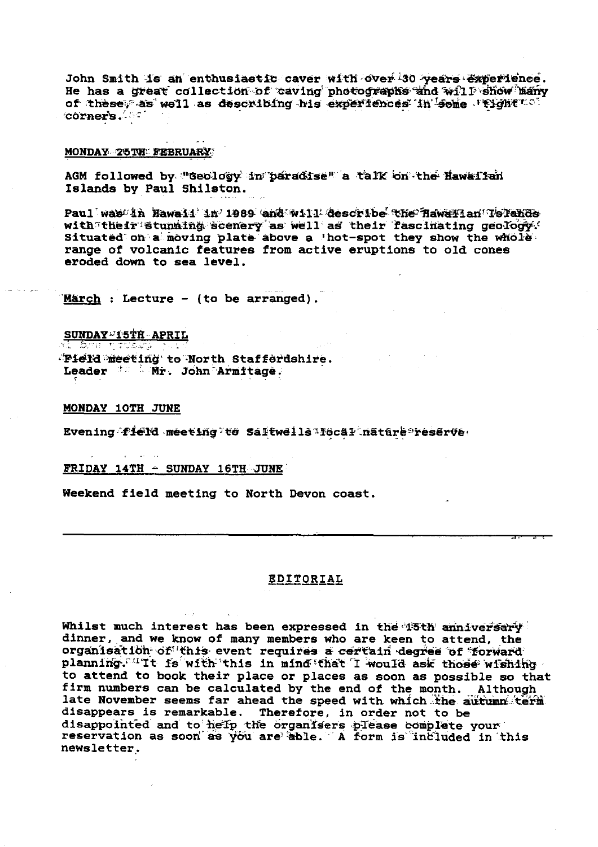John Smith is an enthusiastic caver with over 30 years experience. He has a great collection of caving photographs and will show hany of these, as well as describing his experiences in some reight ... corner's.

## MONDAY 25 THE FEBRUARY

AGM followed by "Geology in paradise" a talk on the Hawailan Islands by Paul Shilston.

Paul was in Hawaii in 1989 and will describe the Hawarian Tslands with their stunning scenery as well as their fascinating geology. range of volcanic features from active eruptions to old cones eroded down to sea level.

March : Lecture - (to be arranged).

SUNDAY<sup>LIST</sup>H APRIL Pield meeting to North Staffordshire. Leader <sup>for</sup> Mr. John Armitage.

# MONDAY 10TH JUNE

Evening field meeting to Saltweils Tecal nature reserve.

# FRIDAY 14TH - SUNDAY 16TH JUNE

Weekend field meeting to North Devon coast.

# **EDITORIAL**

Whilst much interest has been expressed in the 15th anniversary dinner, and we know of many members who are keen to attend, the organisation of this event requires a certain degree of forward planning. It is with this in mind that I would ask those wishing to attend to book their place or places as soon as possible so that firm numbers can be calculated by the end of the month. Although late November seems far ahead the speed with which the autumn term disappears is remarkable. Therefore, in order not to be disappointed and to help the organisers please complete your reservation as soon as you are able. A form is included in this newsletter.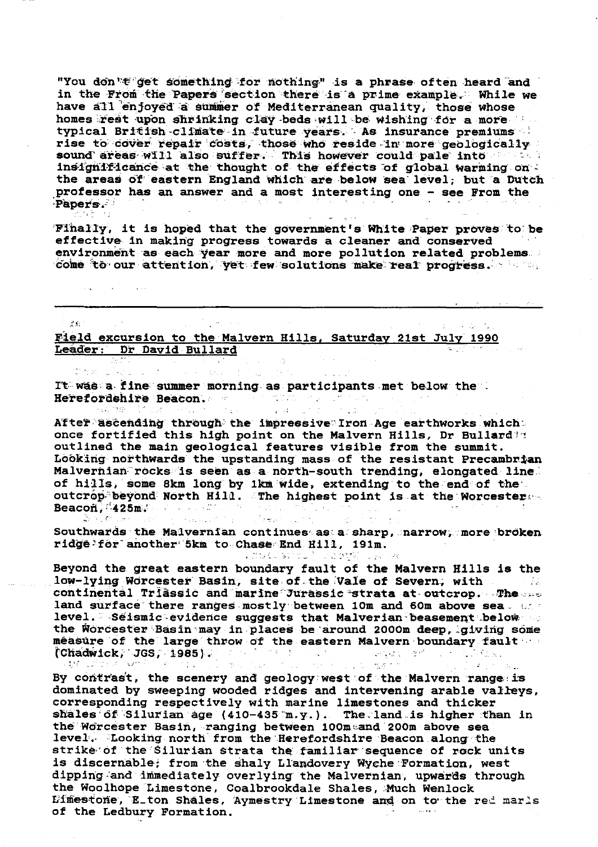"You don "F get something for nothing" is a phrase often heard and in the From the Papers' section there is a prime example. While we have all enjoyed a summer of Mediterranean quality, those whose homes rest upon shrinking clay beds will be wishing for a more typical British -climate in future years. As insurance premiums rise to cover repair costs, those who reside in more geologically sound areas will also suffer. This however could pale into  $\sim$ insignificance at the thought of the effects of global warming on. the areas of eastern England which are below sea level; but a Dutch professor has an answer and a most Interesting one - see From the Papers.

Finally, it is hoped that the government's White Paper proves to be effective in making progress towards a cleaner and conserved environment as each year more and more pollution related problems. Environment as each year more and more portution related pro

Field excursion to the Malvern Hills, Saturday 21st July 1990 Leader: Dr David Bullard

美彩

the security

It was a fine summer morning as participants met below the.. Herefordshire Beacon.  $\mathcal{L}^{\text{max}}_{\text{max}}$ 

المنافع فأنبي

salva pr

 $\mathbb{R}^2$ 

 $\sim 10^{11}$ 

**Collection** 

After ascending through the impressive Iron Age earthworks which: once fortified this high point on the Malvern Hills, Dr Bullard's outlined the main geological features visible from the summit. Looking northwards the upstanding mass of the resistant Precambrian Malvernian: rocks is seen as a north-south trending, elongated line' of hills, some 8km long by 1km wide, extending to the end of the outcrop-beyond North Hill. The highest point is at the Worcester  $\cdots$  $\texttt{Beacoh}$ ,  $\texttt{425m}$ ,  $\ldots$ ,  $\ldots$ 

Southwards the Malvernian continues as a sharp, narrow, more broken ridge far- another <sup>a</sup> '5kin to- Chass <sup>e</sup> End Hill, 191m.

Beyond the great eastern boundary fault of the Malvern Hills is the low-lying Worcester Basin, site of the Vale of Severn, with the state continental Triassic and marine Jurassic strata at outcrop. The land surface there ranges mostly between 10m and 60m above sea and level. -Seismic evidence suggests that Malverian beasement below the Worcester-Basin may in places be around 2000m deep, giving some measure of the large throw of the eastern Malvern boundary fault and  $\Gamma$ Chadwick, 'JGS, 1985). The second service of the service of the service of the service of the service of the service of the service of the service of the service of the service of the service of the service of the service

 $\sim 10^{-10}$   $^{-1}$ 

By contrast, the scenery and geology west of the Malvern range is dominated by sweeping wooded ridges and intervening arable valleys, corresponding respectively with marine limestones and thicker shales of Silurian age (410-435 m. y.). The land is higher than in the Worcester Basin, ranging between 100m and 200m above sea level. Looking north from the Herefordshire Beacon along the striketof the Silurian strata the familiar sequence of rock units is discernable; from the shaly Llandovery Wyche Formation, west dipping-and immediately overlying the Malvernian, upwards through the Woolhope Limestone, Coalbrookdale Shales, Much Wenlock Limestone, E\_ton Shales, Aymestry Limestone and on to the red marls of the Ledbury Formation.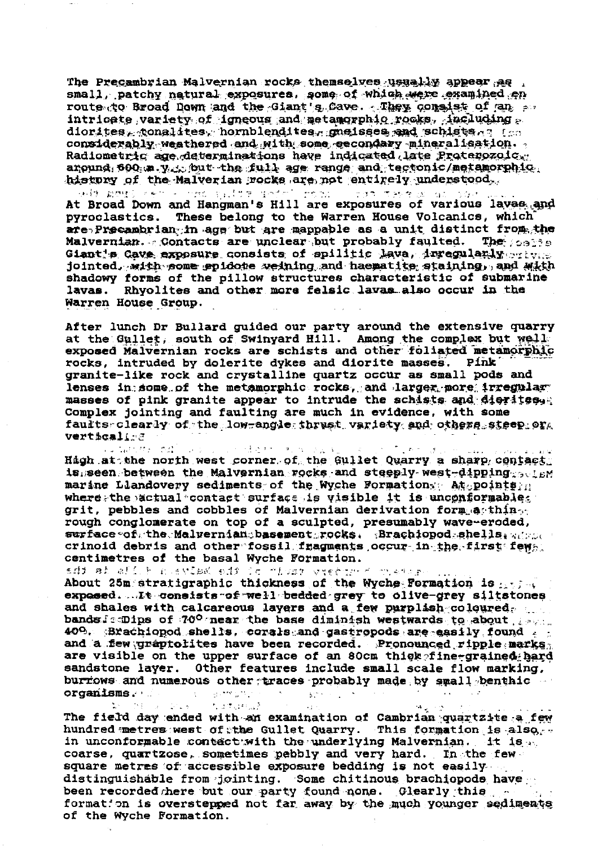The Precambrian Malvernian rocks themselves usually appear as . small, patchy natural exposures, some of which were examined en route to Broad Down and the Giant's Cave. They consist of an av  $\int \int \frac{1}{\sqrt{1-\frac{1}{\sqrt{1-\frac{1}{\sqrt{1-\frac{1}{\sqrt{1-\frac{1}{\sqrt{1-\frac{1}{\sqrt{1-\frac{1}{\sqrt{1-\frac{1}{\sqrt{1-\frac{1}{\sqrt{1-\frac{1}{\sqrt{1-\frac{1}{\sqrt{1-\frac{1}{\sqrt{1-\frac{1}{\sqrt{1-\frac{1}{\sqrt{1-\frac{1}{\sqrt{1-\frac{1}{\sqrt{1-\frac{1}{\sqrt{1-\frac{1}{\sqrt{1-\frac{1}{\sqrt{1-\frac{1}{\sqrt{1-\frac{1}{\sqrt{1-\frac{1}{\sqrt{1-\frac{1}{\sqrt{1-\frac{1}{\sqrt{1$ diorites, conalites, hornblendites, gneisees and schiste  $\alpha$ ? for considerably weathered and with some eecondary mineralisation. Radiometric age determinations have indicated late Proterozoic, angund 600; m. y. but the full age range and tectonic/metamorphic. history of the Malverian rocks are not entirely understood.

and month center that information from the second threat and have At Broad Down and Hangman's Hill are exposures of various lavas and These belong to the Warren House Volcanics, which pyroclastics. are Precambrian in age but are mappable as a unit distinct from the Malvernian. Contacts are unclear but probably faulted. The spaces Giant's Cave exposure consists of spilitic lava, inregularly ortyce jointed. with some epidote weining and haematite staining, and with shadowy forms of the pillow structures characteristic of submarine lavas. Rhyolites and other more felsic lavas also occur in the Warren House Group.

After lunch Dr Bullard guided our party around the extensive quarry at the Gullet, south of Swinyard Hill. Among the complex but well exposed Malvernian rocks are schists and other foliated metamorphic rocks, intruded by dolerite dykes and diorite masses. Pink granite-like rock and crystalline quartz occur as small pods and lenses in some of the metamorphic rocks, and larger more irregular masses of pink granite appear to intrude the schists and digrites. Complex jointing and faulting are much in evidence, with some faults clearly of the low-angle thrust variety and others steep or verticalisa

**Constitution** 计可行程序 医心包的 医病毒症 in for \$ 10  $\sim 10^{-1}$  M  $_\odot$ High at the north west corner of the Gullet Quarry a sharp contact. is seen between the Malvernian rocks and steeply west-dipping sense marine Llandovery sediments of the Wyche Formation Atopoints n where the actual contact surface is visible it is unconformables grit, pebbles and cobbles of Malvernian derivation form a thinrough conglomerate on top of a sculpted, presumably wave-eroded, surface of the Malvernian basement rocks. Brachiopod shells, advoc crinoid debris and other fossil fragments occur in the first few. centimetres of the basal Wyche Formation.

adi ah afi hungay tayla da ina kala yang da About 25m stratigraphic thickness of the Wyche Formation is any see

expased....It consists of well bedded grey to olive-grey siltstones and shales with calcareous layers and a few purplish coloured. bands famings of 70° near the base diminish westwards to about fears. 40%. Brachiopod shells, corals and gastropods are easily found and a few graptolites have been recorded. Pronounced ripple marks are visible on the upper surface of an 80cm thigh fine-grained hard sandstone layer. Other features include small scale flow marking. burriows and numerous other traces probably made by small benthic  $\mathfrak{g}$  , we get  $\mathbb{R}^3$  $organisms.$  $\sim 10^6$  $\frac{1}{2}$  ,  $\frac{1}{2}$  ,  $\frac{1}{2}$ 

 $\mathbf{L}^2 = \mathbf{M}^2$  ,  $\mathbf{A}^2 = \mathbf{M}^2$  ,  $\mathbf{S}^2 = \mathbf{M}$  $\mathcal{F}_\text{L}$  , and  $\mathcal{F}_\text{L}$  and  $\mathcal{F}_\text{L}$  $\mathcal{A}_{\mathcal{A}_1}$  , and The field day ended with an examination of Cambrian quartzite a few hundred metres west of the Gullet Quarry. This formation is also, in unconformable contact with the underlying Malvernian. It is  $\omega_{\rm{c}}$ coarse, quartzose, sometimes pebbly and very hard. In the fewsquare metres of accessible exposure bedding is not easily ... distinguishable from jointing. Some chitinous brachiopods have been recorded here but our party found none. Glearly this formation is overstepped not far away by the much younger sediments of the Wyche Formation.

 $\sim 10$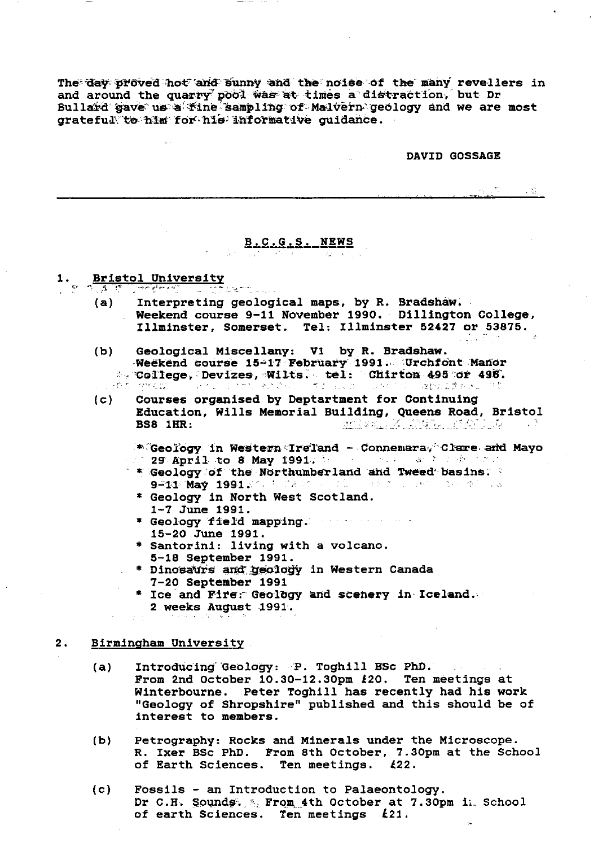The day proved hot and sunny and the noise of the many revellers in and around the quarry pool was at times a distraction, but Dr Bullard gave us a fine sampling of Malvern geology and we are most grateful to him for his informative guidance.

# **DAVID GOSSAGE**

4. 第二三章

# B.C.G.S. NEWS

### 1.

- **Bristol University** 
	- Interpreting geological maps, by R. Bradshaw.  $(a)$ Neekend course 9-11 November 1990. Dillington College, Illminster, Somerset. Tel: Illminster 52427 or 53875.
	- $(b)$ Geological Miscellany: V1 by R. Bradshaw. Weekend course 15-17 February 1991. Urchfont Manor College, Devizes, Wilts. tel: Chirton 495 or 496. ປະສອບ ການເຊຊະນີ້ ທີ່ຈະການ Bonary ໃຫຍ່ເປັນເປັນ ເປັນ Galactic Luck (10). しきひんえきあびょう ひ
	- Courses organised by Deptartment for Continuing  $(c)$ Education, Wills Memorial Building, Queens Road, Bristol **BS8 1HR: BEARER MEDIATORS** 
		- \* Geology in Western Ireland Connemara, Clare and Mayo 129 April to 8 May 1991. The communication of the Property
		- \* Geology of the Northumberland and Tweed basins. 9-11 May 1991 200 M MARCH 21 MARCH 2000 COMPANIES
		- \* Geology in North West Scotland. 1-7 June 1991.
		- \* Geology field mapping. We have a search 15-20 June 1991.
		- \* Santorini: living with a volcano. 5-18 September 1991.
		- \* Dinosaurs and geology in Western Canada 7-20 September 1991
		- \* Ice and Fire: Geology and scenery in Iceland. 2 weeks August 1991.

#### $2.$ Birmingham University

- Introducing Geology: P. Toghill BSc PhD.  $(a)$ From 2nd October 10.30-12.30pm £20. Ten meetings at Winterbourne. Peter Toghill has recently had his work "Geology of Shropshire" published and this should be of interest to members.
- Petrography: Rocks and Minerals under the Microscope.  $(b)$ R. Ixer BSc PhD. From 8th October, 7.30pm at the School of Earth Sciences. Ten meetings. £22.
- Fossils an Introduction to Palaeontology.  $(c)$ Dr C.H. Sounds. 5 From 4th October at 7.30pm in School of earth Sciences. Ten meetings £21.